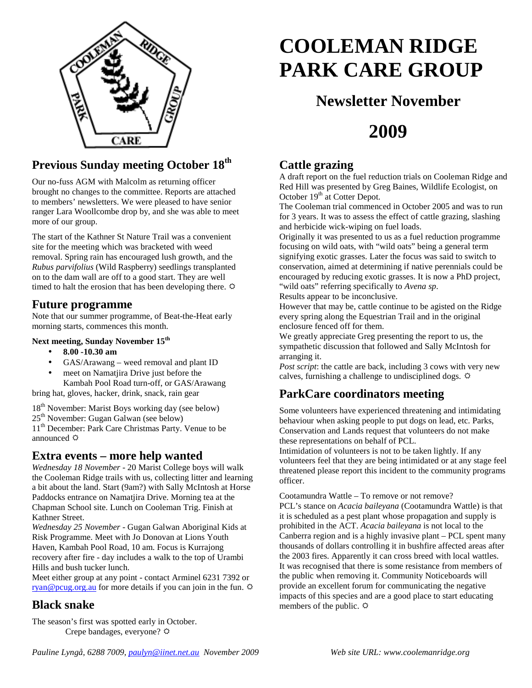

### **Previous Sunday meeting October 18th**

Our no-fuss AGM with Malcolm as returning officer brought no changes to the committee. Reports are attached to members' newsletters. We were pleased to have senior ranger Lara Woollcombe drop by, and she was able to meet more of our group.

The start of the Kathner St Nature Trail was a convenient site for the meeting which was bracketed with weed removal. Spring rain has encouraged lush growth, and the *Rubus parvifolius* (Wild Raspberry) seedlings transplanted on to the dam wall are off to a good start. They are well timed to halt the erosion that has been developing there.  $\ddot{\varphi}$ 

### **Future programme**

Note that our summer programme, of Beat-the-Heat early morning starts, commences this month.

#### **Next meeting, Sunday November 15th**

- **8.00 -10.30 am**
- GAS/Arawang weed removal and plant ID
- meet on Namatjira Drive just before the Kambah Pool Road turn-off, or GAS/Arawang

bring hat, gloves, hacker, drink, snack, rain gear

18th November: Marist Boys working day (see below)

 $25<sup>th</sup>$  November: Gugan Galwan (see below)

11<sup>th</sup> December: Park Care Christmas Party. Venue to be announced  $\Phi$ 

### **Extra events – more help wanted**

*Wednesday 18 November* - 20 Marist College boys will walk the Cooleman Ridge trails with us, collecting litter and learning a bit about the land. Start (9am?) with Sally McIntosh at Horse Paddocks entrance on Namatjira Drive. Morning tea at the Chapman School site. Lunch on Cooleman Trig. Finish at Kathner Street.

*Wednesday 25 November* - Gugan Galwan Aboriginal Kids at Risk Programme. Meet with Jo Donovan at Lions Youth Haven, Kambah Pool Road, 10 am. Focus is Kurrajong recovery after fire - day includes a walk to the top of Urambi Hills and bush tucker lunch.

Meet either group at any point - contact Arminel 6231 7392 or  $rvan@pcug.org.au$  for more details if you can join in the fun.  $\ddot{\varphi}$ </u>

### **Black snake**

The season's first was spotted early in October. Crepe bandages, everyone?

# **COOLEMAN RIDGE PARK CARE GROUP**

## **Newsletter November**

# **2009**

### **Cattle grazing**

A draft report on the fuel reduction trials on Cooleman Ridge and Red Hill was presented by Greg Baines, Wildlife Ecologist, on October  $19<sup>th</sup>$  at Cotter Depot.

The Cooleman trial commenced in October 2005 and was to run for 3 years. It was to assess the effect of cattle grazing, slashing and herbicide wick-wiping on fuel loads.

Originally it was presented to us as a fuel reduction programme focusing on wild oats, with "wild oats" being a general term signifying exotic grasses. Later the focus was said to switch to conservation, aimed at determining if native perennials could be encouraged by reducing exotic grasses. It is now a PhD project, "wild oats" referring specifically to *Avena sp*.

Results appear to be inconclusive.

However that may be, cattle continue to be agisted on the Ridge every spring along the Equestrian Trail and in the original enclosure fenced off for them.

We greatly appreciate Greg presenting the report to us, the sympathetic discussion that followed and Sally McIntosh for arranging it.

*Post script*: the cattle are back, including 3 cows with very new calves, furnishing a challenge to undisciplined dogs.  $\ddot{\varphi}$ 

### **ParkCare coordinators meeting**

Some volunteers have experienced threatening and intimidating behaviour when asking people to put dogs on lead, etc. Parks, Conservation and Lands request that volunteers do not make these representations on behalf of PCL.

Intimidation of volunteers is not to be taken lightly. If any volunteers feel that they are being intimidated or at any stage feel threatened please report this incident to the community programs officer.

Cootamundra Wattle – To remove or not remove?

PCL's stance on *Acacia baileyana* (Cootamundra Wattle) is that it is scheduled as a pest plant whose propagation and supply is prohibited in the ACT. *Acacia baileyana* is not local to the Canberra region and is a highly invasive plant – PCL spent many thousands of dollars controlling it in bushfire affected areas after the 2003 fires. Apparently it can cross breed with local wattles. It was recognised that there is some resistance from members of the public when removing it. Community Noticeboards will provide an excellent forum for communicating the negative impacts of this species and are a good place to start educating members of the public.  $\varphi$